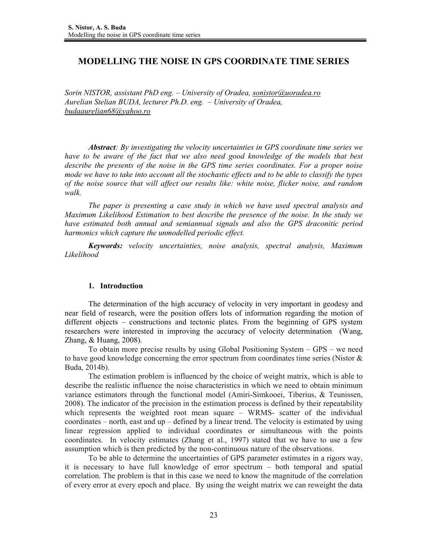# **MODELLING THE NOISE IN GPS COORDINATE TIME SERIES**

*Sorin NISTOR, assistant PhD eng. – University of Oradea, sonistor@uoradea.ro Aurelian Stelian BUDA, lecturer Ph.D. eng. – University of Oradea, budaaurelian68@yahoo.ro*

*Abstract: By investigating the velocity uncertainties in GPS coordinate time series we have to be aware of the fact that we also need good knowledge of the models that best describe the presents of the noise in the GPS time series coordinates. For a proper noise mode we have to take into account all the stochastic effects and to be able to classify the types of the noise source that will affect our results like: white noise, flicker noise, and random walk.* 

*The paper is presenting a case study in which we have used spectral analysis and Maximum Likelihood Estimation to best describe the presence of the noise. In the study we have estimated both annual and semiannual signals and also the GPS draconitic period harmonics which capture the unmodelled periodic effect.*

*Keywords: velocity uncertainties, noise analysis, spectral analysis, Maximum Likelihood* 

## **1. Introduction**

The determination of the high accuracy of velocity in very important in geodesy and near field of research, were the position offers lots of information regarding the motion of different objects – constructions and tectonic plates. From the beginning of GPS system researchers were interested in improving the accuracy of velocity determination (Wang, Zhang, & Huang, 2008).

To obtain more precise results by using Global Positioning System – GPS – we need to have good knowledge concerning the error spectrum from coordinates time series (Nistor & Buda, 2014b).

The estimation problem is influenced by the choice of weight matrix, which is able to describe the realistic influence the noise characteristics in which we need to obtain minimum variance estimators through the functional model (Amiri-Simkooei, Tiberius, & Teunissen, 2008). The indicator of the precision in the estimation process is defined by their repeatability which represents the weighted root mean square – WRMS- scatter of the individual coordinates – north, east and up – defined by a linear trend. The velocity is estimated by using linear regression applied to individual coordinates or simultaneous with the points coordinates. In velocity estimates (Zhang et al., 1997) stated that we have to use a few assumption which is then predicted by the non-continuous nature of the observations.

To be able to determine the uncertainties of GPS parameter estimates in a rigors way, it is necessary to have full knowledge of error spectrum – both temporal and spatial correlation. The problem is that in this case we need to know the magnitude of the correlation of every error at every epoch and place. By using the weight matrix we can reweight the data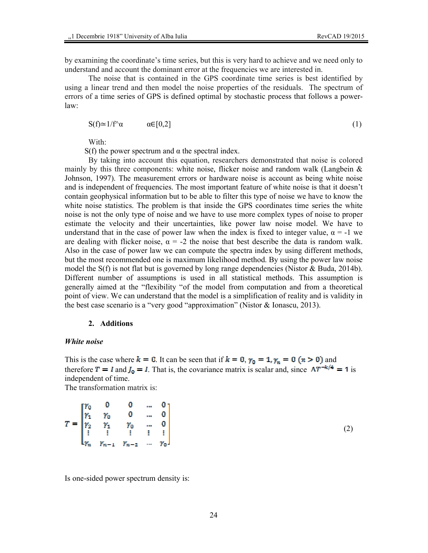by examining the coordinate's time series, but this is very hard to achieve and we need only to understand and account the dominant error at the frequencies we are interested in.

The noise that is contained in the GPS coordinate time series is best identified by using a linear trend and then model the noise properties of the residuals. The spectrum of errors of a time series of GPS is defined optimal by stochastic process that follows a powerlaw:

$$
S(f) \simeq 1/f^{\wedge}\alpha \qquad \alpha \in [0,2] \tag{1}
$$

With:

S(f) the power spectrum and  $\alpha$  the spectral index.

By taking into account this equation, researchers demonstrated that noise is colored mainly by this three components: white noise, flicker noise and random walk (Langbein  $\&$ Johnson, 1997). The measurement errors or hardware noise is account as being white noise and is independent of frequencies. The most important feature of white noise is that it doesn't contain geophysical information but to be able to filter this type of noise we have to know the white noise statistics. The problem is that inside the GPS coordinates time series the white noise is not the only type of noise and we have to use more complex types of noise to proper estimate the velocity and their uncertainties, like power law noise model. We have to understand that in the case of power law when the index is fixed to integer value,  $\alpha = -1$  we are dealing with flicker noise,  $\alpha = -2$  the noise that best describe the data is random walk. Also in the case of power law we can compute the spectra index by using different methods, but the most recommended one is maximum likelihood method. By using the power law noise model the S(f) is not flat but is governed by long range dependencies (Nistor & Buda, 2014b). Different number of assumptions is used in all statistical methods. This assumption is generally aimed at the "flexibility "of the model from computation and from a theoretical point of view. We can understand that the model is a simplification of reality and is validity in the best case scenario is a "very good "approximation" (Nistor & Ionascu, 2013).

#### **2. Additions**

### *White noise*

This is the case where  $k = 0$ . It can be seen that if  $k = 0$ ,  $\gamma_0 = 1$ ,  $\gamma_n = 0$  ( $n > 0$ ) and therefore  $T = I$  and  $J_0 = I$ . That is, the covariance matrix is scalar and, since  $\Delta T^{-k/4} = 1$  is independent of time. The transformation matrix is:

$$
T = \begin{bmatrix} \gamma_0 & 0 & 0 & \dots & 0 \\ \gamma_1 & \gamma_0 & 0 & \dots & 0 \\ \gamma_2 & \gamma_1 & \gamma_0 & \dots & 0 \\ \vdots & \vdots & \vdots & \vdots & \vdots \\ \gamma_n & \gamma_{n-1} & \gamma_{n-2} & \dots & \gamma_0 \end{bmatrix}
$$
 (2)

Is one-sided power spectrum density is: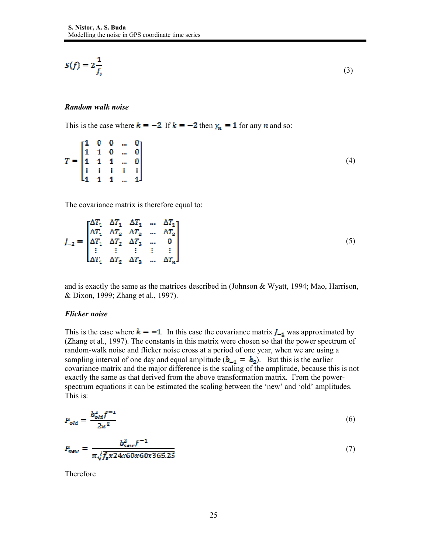$$
S(f) = 2\frac{1}{f_s} \tag{3}
$$

#### *Random walk noise*

This is the case where  $k = -2$ . If  $k = -2$  then  $\gamma_n = 1$  for any n and so:

$$
T = \begin{bmatrix} 1 & 0 & 0 & \dots & 0 \\ 1 & 1 & 0 & \dots & 0 \\ 1 & 1 & 1 & \dots & 0 \\ \vdots & \vdots & \vdots & \vdots & \vdots \\ 1 & 1 & 1 & \dots & 1 \end{bmatrix}
$$
 (4)

The covariance matrix is therefore equal to:

$$
J_{-2} = \begin{bmatrix} \Delta T_1 & \Delta T_1 & \Delta T_1 & \dots & \Delta T_1 \\ \Delta T_1 & \Delta T_2 & \Delta T_2 & \dots & \Delta T_2 \\ \Delta T_1 & \Delta T_2 & \Delta T_3 & \dots & 0 \\ \vdots & \vdots & \vdots & \vdots & \vdots \\ \Delta T_1 & \Delta T_2 & \Delta T_3 & \dots & \Delta T_n \end{bmatrix} \tag{5}
$$

and is exactly the same as the matrices described in (Johnson & Wyatt, 1994; Mao, Harrison, & Dixon, 1999; Zhang et al., 1997).

#### *Flicker noise*

This is the case where  $k = -1$ . In this case the covariance matrix  $I_{-1}$  was approximated by (Zhang et al., 1997). The constants in this matrix were chosen so that the power spectrum of random-walk noise and flicker noise cross at a period of one year, when we are using a sampling interval of one day and equal amplitude  $(b_{-1} = b_2)$ . But this is the earlier covariance matrix and the major difference is the scaling of the amplitude, because this is not exactly the same as that derived from the above transformation matrix. From the powerspectrum equations it can be estimated the scaling between the 'new' and 'old' amplitudes. This is:

$$
P_{old} = \frac{b_{old}^2 f^{-1}}{2\pi^2} \tag{6}
$$

$$
P_{new} = \frac{b_{new}^2 f^{-1}}{\pi \sqrt{f_s x 24x 60x 60x 365.25}}
$$
(7)

Therefore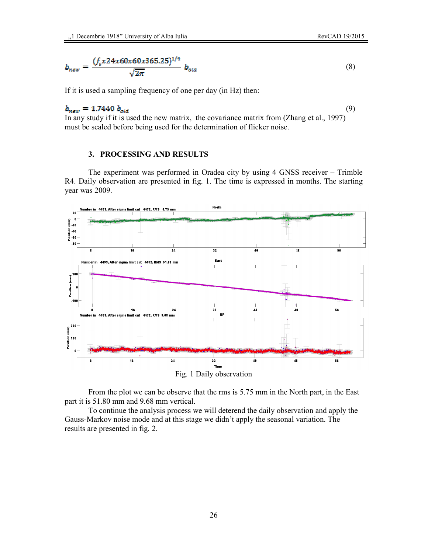$$
b_{new} = \frac{(f_s x 24x 60x 60x 365.25)^{1/4}}{\sqrt{2\pi}} b_{old}
$$
(8)

If it is used a sampling frequency of one per day (in Hz) then:

#### (9)  $b_{\text{new}} = 1.7440 b_{\text{old}}$

In any study if it is used the new matrix, the covariance matrix from (Zhang et al., 1997) must be scaled before being used for the determination of flicker noise.

## **3. PROCESSING AND RESULTS**

The experiment was performed in Oradea city by using 4 GNSS receiver – Trimble R4. Daily observation are presented in fig. 1. The time is expressed in months. The starting year was 2009.



From the plot we can be observe that the rms is 5.75 mm in the North part, in the East part it is 51.80 mm and 9.68 mm vertical.

To continue the analysis process we will deterend the daily observation and apply the Gauss-Markov noise mode and at this stage we didn't apply the seasonal variation. The results are presented in fig. 2.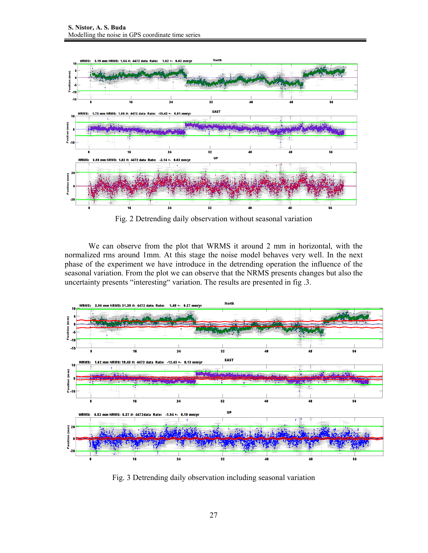

Fig. 2 Detrending daily observation without seasonal variation

We can observe from the plot that WRMS it around 2 mm in horizontal, with the normalized rms around 1mm. At this stage the noise model behaves very well. In the next phase of the experiment we have introduce in the detrending operation the influence of the seasonal variation. From the plot we can observe that the NRMS presents changes but also the uncertainty presents "interesting" variation. The results are presented in fig .3.



Fig. 3 Detrending daily observation including seasonal variation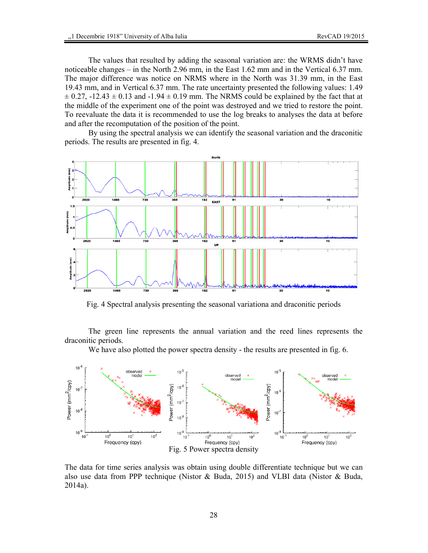The values that resulted by adding the seasonal variation are: the WRMS didn't have noticeable changes – in the North 2.96 mm, in the East 1.62 mm and in the Vertical 6.37 mm. The major difference was notice on NRMS where in the North was 31.39 mm, in the East 19.43 mm, and in Vertical 6.37 mm. The rate uncertainty presented the following values: 1.49  $\pm$  0.27, -12.43  $\pm$  0.13 and -1.94  $\pm$  0.19 mm. The NRMS could be explained by the fact that at the middle of the experiment one of the point was destroyed and we tried to restore the point. To reevaluate the data it is recommended to use the log breaks to analyses the data at before and after the recomputation of the position of the point.

By using the spectral analysis we can identify the seasonal variation and the draconitic periods. The results are presented in fig. 4.



Fig. 4 Spectral analysis presenting the seasonal variationa and draconitic periods

The green line represents the annual variation and the reed lines represents the draconitic periods.

We have also plotted the power spectra density - the results are presented in fig. 6.



The data for time series analysis was obtain using double differentiate technique but we can also use data from PPP technique (Nistor & Buda, 2015) and VLBI data (Nistor & Buda, 2014a).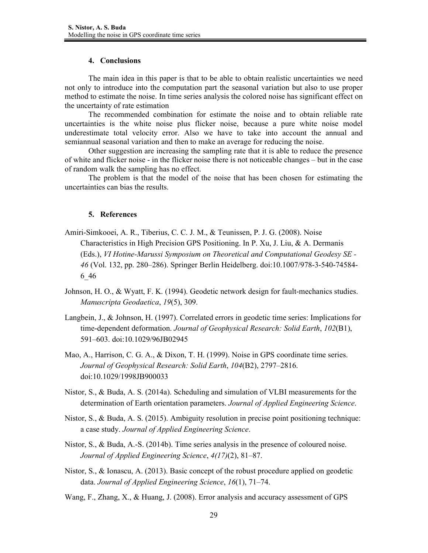### **4. Conclusions**

The main idea in this paper is that to be able to obtain realistic uncertainties we need not only to introduce into the computation part the seasonal variation but also to use proper method to estimate the noise. In time series analysis the colored noise has significant effect on the uncertainty of rate estimation

The recommended combination for estimate the noise and to obtain reliable rate uncertainties is the white noise plus flicker noise, because a pure white noise model underestimate total velocity error. Also we have to take into account the annual and semiannual seasonal variation and then to make an average for reducing the noise.

Other suggestion are increasing the sampling rate that it is able to reduce the presence of white and flicker noise - in the flicker noise there is not noticeable changes – but in the case of random walk the sampling has no effect.

The problem is that the model of the noise that has been chosen for estimating the uncertainties can bias the results.

## **5. References**

- Amiri-Simkooei, A. R., Tiberius, C. C. J. M., & Teunissen, P. J. G. (2008). Noise Characteristics in High Precision GPS Positioning. In P. Xu, J. Liu, & A. Dermanis (Eds.), *VI Hotine-Marussi Symposium on Theoretical and Computational Geodesy SE - 46* (Vol. 132, pp. 280–286). Springer Berlin Heidelberg. doi:10.1007/978-3-540-74584- 6\_46
- Johnson, H. O., & Wyatt, F. K. (1994). Geodetic network design for fault-mechanics studies. *Manuscripta Geodaetica*, *19*(5), 309.
- Langbein, J., & Johnson, H. (1997). Correlated errors in geodetic time series: Implications for time-dependent deformation. *Journal of Geophysical Research: Solid Earth*, *102*(B1), 591–603. doi:10.1029/96JB02945
- Mao, A., Harrison, C. G. A., & Dixon, T. H. (1999). Noise in GPS coordinate time series. *Journal of Geophysical Research: Solid Earth*, *104*(B2), 2797–2816. doi:10.1029/1998JB900033
- Nistor, S., & Buda, A. S. (2014a). Scheduling and simulation of VLBI measurements for the determination of Earth orientation parameters. *Journal of Applied Engineering Science*.
- Nistor, S., & Buda, A. S. (2015). Ambiguity resolution in precise point positioning technique: a case study. *Journal of Applied Engineering Science*.
- Nistor, S., & Buda, A.-S. (2014b). Time series analysis in the presence of coloured noise. *Journal of Applied Engineering Science*, *4(17)*(2), 81–87.
- Nistor, S., & Ionascu, A. (2013). Basic concept of the robust procedure applied on geodetic data. *Journal of Applied Engineering Science*, *16*(1), 71–74.
- Wang, F., Zhang, X., & Huang, J. (2008). Error analysis and accuracy assessment of GPS